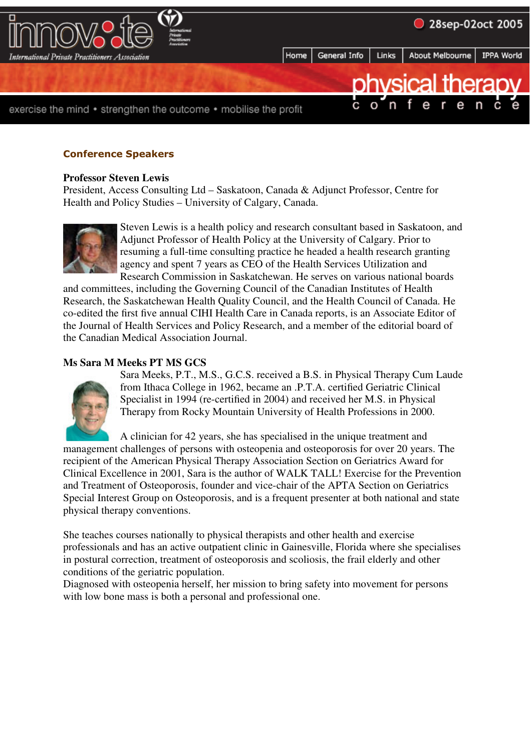

# **Conference Speakers**

#### **Professor Steven Lewis**

President, Access Consulting Ltd – Saskatoon, Canada & Adjunct Professor, Centre for Health and Policy Studies – University of Calgary, Canada.



Steven Lewis is a health policy and research consultant based in Saskatoon, and Adjunct Professor of Health Policy at the University of Calgary. Prior to resuming a full-time consulting practice he headed a health research granting agency and spent 7 years as CEO of the Health Services Utilization and Research Commission in Saskatchewan. He serves on various national boards

and committees, including the Governing Council of the Canadian Institutes of Health Research, the Saskatchewan Health Quality Council, and the Health Council of Canada. He co-edited the first five annual CIHI Health Care in Canada reports, is an Associate Editor of the Journal of Health Services and Policy Research, and a member of the editorial board of the Canadian Medical Association Journal.

# **Ms Sara M Meeks PT MS GCS**



Sara Meeks, P.T., M.S., G.C.S. received a B.S. in Physical Therapy Cum Laude from Ithaca College in 1962, became an .P.T.A. certified Geriatric Clinical Specialist in 1994 (re-certified in 2004) and received her M.S. in Physical Therapy from Rocky Mountain University of Health Professions in 2000.

A clinician for 42 years, she has specialised in the unique treatment and management challenges of persons with osteopenia and osteoporosis for over 20 years. The recipient of the American Physical Therapy Association Section on Geriatrics Award for Clinical Excellence in 2001, Sara is the author of WALK TALL! Exercise for the Prevention and Treatment of Osteoporosis, founder and vice-chair of the APTA Section on Geriatrics Special Interest Group on Osteoporosis, and is a frequent presenter at both national and state physical therapy conventions.

She teaches courses nationally to physical therapists and other health and exercise professionals and has an active outpatient clinic in Gainesville, Florida where she specialises in postural correction, treatment of osteoporosis and scoliosis, the frail elderly and other conditions of the geriatric population.

Diagnosed with osteopenia herself, her mission to bring safety into movement for persons with low bone mass is both a personal and professional one.